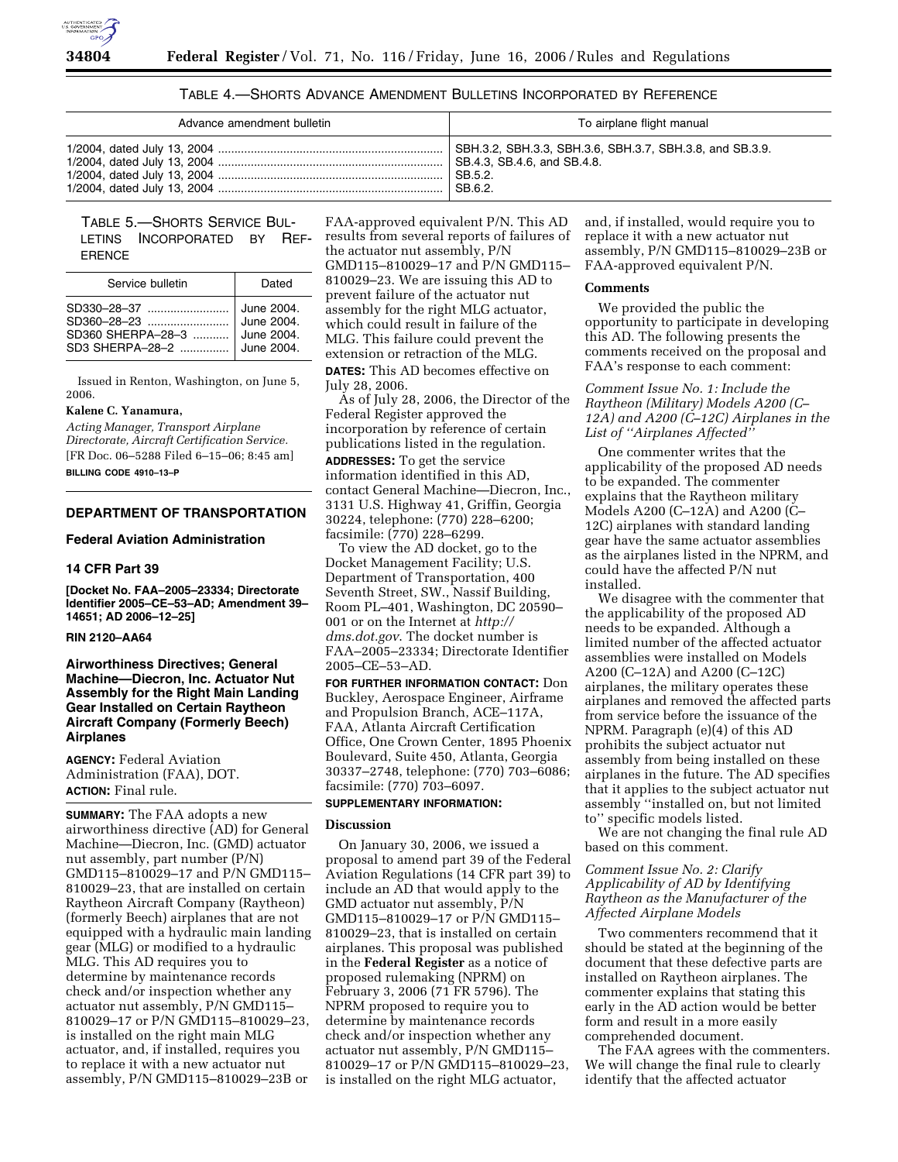

| Table 4.—Shorts Advance Amendment Bulletins Incorporated by Reference |
|-----------------------------------------------------------------------|
|-----------------------------------------------------------------------|

| Advance amendment bulletin | To airplane flight manual |
|----------------------------|---------------------------|
|                            |                           |

TABLE 5.—SHORTS SERVICE BUL-LETINS INCORPORATED BY REF-ERENCE

| Service bulletin                                                            | Dated                    |
|-----------------------------------------------------------------------------|--------------------------|
| SD330-28-37<br>SD360 SHERPA-28-3  June 2004.<br>SD3 SHERPA-28-2  June 2004. | June 2004.<br>June 2004. |

Issued in Renton, Washington, on June 5, 2006.

## **Kalene C. Yanamura,**

*Acting Manager, Transport Airplane Directorate, Aircraft Certification Service.*  [FR Doc. 06–5288 Filed 6–15–06; 8:45 am]

**BILLING CODE 4910–13–P** 

### **DEPARTMENT OF TRANSPORTATION**

## **Federal Aviation Administration**

#### **14 CFR Part 39**

**[Docket No. FAA–2005–23334; Directorate Identifier 2005–CE–53–AD; Amendment 39– 14651; AD 2006–12–25]** 

### **RIN 2120–AA64**

**Airworthiness Directives; General Machine—Diecron, Inc. Actuator Nut Assembly for the Right Main Landing Gear Installed on Certain Raytheon Aircraft Company (Formerly Beech) Airplanes** 

**AGENCY:** Federal Aviation Administration (FAA), DOT. **ACTION:** Final rule.

**SUMMARY:** The FAA adopts a new airworthiness directive (AD) for General Machine—Diecron, Inc. (GMD) actuator nut assembly, part number (P/N) GMD115–810029–17 and P/N GMD115– 810029–23, that are installed on certain Raytheon Aircraft Company (Raytheon) (formerly Beech) airplanes that are not equipped with a hydraulic main landing gear (MLG) or modified to a hydraulic MLG. This AD requires you to determine by maintenance records check and/or inspection whether any actuator nut assembly, P/N GMD115– 810029–17 or P/N GMD115–810029–23, is installed on the right main MLG actuator, and, if installed, requires you to replace it with a new actuator nut assembly, P/N GMD115–810029–23B or

FAA-approved equivalent P/N. This AD results from several reports of failures of the actuator nut assembly, P/N GMD115–810029–17 and P/N GMD115– 810029–23. We are issuing this AD to prevent failure of the actuator nut assembly for the right MLG actuator, which could result in failure of the MLG. This failure could prevent the extension or retraction of the MLG.

**DATES:** This AD becomes effective on July 28, 2006.

As of July 28, 2006, the Director of the Federal Register approved the incorporation by reference of certain publications listed in the regulation.

**ADDRESSES:** To get the service information identified in this AD, contact General Machine—Diecron, Inc., 3131 U.S. Highway 41, Griffin, Georgia 30224, telephone: (770) 228–6200; facsimile: (770) 228–6299.

To view the AD docket, go to the Docket Management Facility; U.S. Department of Transportation, 400 Seventh Street, SW., Nassif Building, Room PL–401, Washington, DC 20590– 001 or on the Internet at *http:// dms.dot.gov*. The docket number is FAA–2005–23334; Directorate Identifier 2005–CE–53–AD.

**FOR FURTHER INFORMATION CONTACT:** Don Buckley, Aerospace Engineer, Airframe and Propulsion Branch, ACE–117A, FAA, Atlanta Aircraft Certification Office, One Crown Center, 1895 Phoenix Boulevard, Suite 450, Atlanta, Georgia 30337–2748, telephone: (770) 703–6086; facsimile: (770) 703–6097.

# **SUPPLEMENTARY INFORMATION:**

#### **Discussion**

On January 30, 2006, we issued a proposal to amend part 39 of the Federal Aviation Regulations (14 CFR part 39) to include an AD that would apply to the GMD actuator nut assembly, P/N GMD115–810029–17 or P/N GMD115– 810029–23, that is installed on certain airplanes. This proposal was published in the **Federal Register** as a notice of proposed rulemaking (NPRM) on February 3, 2006 (71 FR 5796). The NPRM proposed to require you to determine by maintenance records check and/or inspection whether any actuator nut assembly, P/N GMD115– 810029–17 or P/N GMD115–810029–23, is installed on the right MLG actuator,

and, if installed, would require you to replace it with a new actuator nut assembly, P/N GMD115–810029–23B or FAA-approved equivalent P/N.

#### **Comments**

We provided the public the opportunity to participate in developing this AD. The following presents the comments received on the proposal and FAA's response to each comment:

*Comment Issue No. 1: Include the Raytheon (Military) Models A200 (C– 12A) and A200 (C–12C) Airplanes in the List of ''Airplanes Affected''*

One commenter writes that the applicability of the proposed AD needs to be expanded. The commenter explains that the Raytheon military Models A200 (C–12A) and A200 (C– 12C) airplanes with standard landing gear have the same actuator assemblies as the airplanes listed in the NPRM, and could have the affected P/N nut installed.

We disagree with the commenter that the applicability of the proposed AD needs to be expanded. Although a limited number of the affected actuator assemblies were installed on Models A200 (C–12A) and A200 (C–12C) airplanes, the military operates these airplanes and removed the affected parts from service before the issuance of the NPRM. Paragraph (e)(4) of this AD prohibits the subject actuator nut assembly from being installed on these airplanes in the future. The AD specifies that it applies to the subject actuator nut assembly ''installed on, but not limited to'' specific models listed.

We are not changing the final rule AD based on this comment.

# *Comment Issue No. 2: Clarify Applicability of AD by Identifying Raytheon as the Manufacturer of the Affected Airplane Models*

Two commenters recommend that it should be stated at the beginning of the document that these defective parts are installed on Raytheon airplanes. The commenter explains that stating this early in the AD action would be better form and result in a more easily comprehended document.

The FAA agrees with the commenters. We will change the final rule to clearly identify that the affected actuator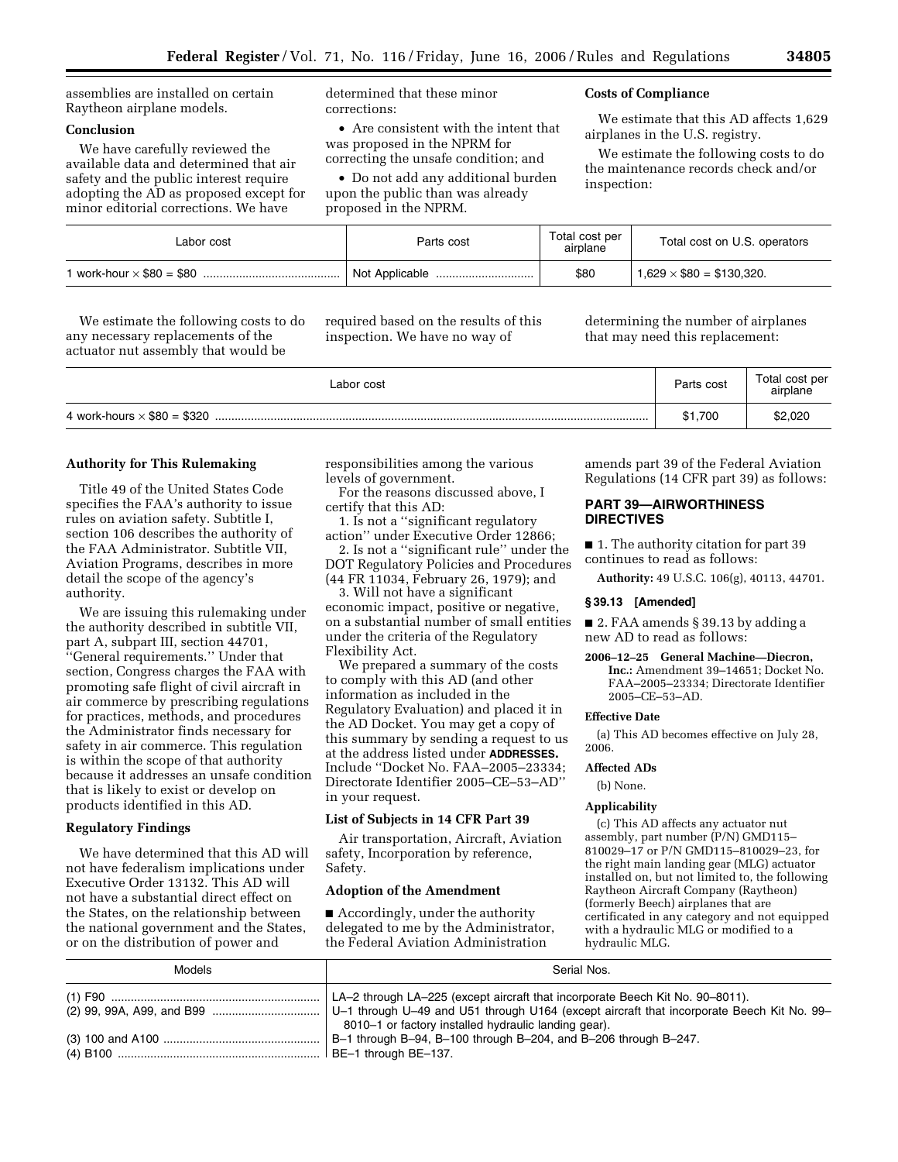assemblies are installed on certain Raytheon airplane models.

# **Conclusion**

We have carefully reviewed the available data and determined that air safety and the public interest require adopting the AD as proposed except for minor editorial corrections. We have

determined that these minor corrections:

• Are consistent with the intent that was proposed in the NPRM for correcting the unsafe condition; and

• Do not add any additional burden upon the public than was already proposed in the NPRM.

# **Costs of Compliance**

We estimate that this AD affects 1,629 airplanes in the U.S. registry.

We estimate the following costs to do the maintenance records check and/or inspection:

| Labor cost | Parts cost         | Total cost per<br>airplane | Total cost on U.S. operators   |
|------------|--------------------|----------------------------|--------------------------------|
|            | Not Applicable<br> | \$80                       | $1,629 \times $80 = $130,320.$ |

We estimate the following costs to do any necessary replacements of the actuator nut assembly that would be

required based on the results of this inspection. We have no way of

determining the number of airplanes that may need this replacement:

| Labor cost                         | Parts cost | Total cost per<br>airplane |
|------------------------------------|------------|----------------------------|
| 4 work-hours $\times$ \$80 = \$320 | \$1.700    | \$2,020                    |

## **Authority for This Rulemaking**

Title 49 of the United States Code specifies the FAA's authority to issue rules on aviation safety. Subtitle I, section 106 describes the authority of the FAA Administrator. Subtitle VII, Aviation Programs, describes in more detail the scope of the agency's authority.

We are issuing this rulemaking under the authority described in subtitle VII, part A, subpart III, section 44701, ''General requirements.'' Under that section, Congress charges the FAA with promoting safe flight of civil aircraft in air commerce by prescribing regulations for practices, methods, and procedures the Administrator finds necessary for safety in air commerce. This regulation is within the scope of that authority because it addresses an unsafe condition that is likely to exist or develop on products identified in this AD.

## **Regulatory Findings**

We have determined that this AD will not have federalism implications under Executive Order 13132. This AD will not have a substantial direct effect on the States, on the relationship between the national government and the States, or on the distribution of power and

responsibilities among the various levels of government.

For the reasons discussed above, I certify that this AD:

1. Is not a ''significant regulatory action'' under Executive Order 12866;

2. Is not a ''significant rule'' under the DOT Regulatory Policies and Procedures (44 FR 11034, February 26, 1979); and

3. Will not have a significant economic impact, positive or negative, on a substantial number of small entities under the criteria of the Regulatory Flexibility Act.

We prepared a summary of the costs to comply with this AD (and other information as included in the Regulatory Evaluation) and placed it in the AD Docket. You may get a copy of this summary by sending a request to us at the address listed under **ADDRESSES.**  Include ''Docket No. FAA–2005–23334; Directorate Identifier 2005–CE–53–AD'' in your request.

### **List of Subjects in 14 CFR Part 39**

Air transportation, Aircraft, Aviation safety, Incorporation by reference, Safety.

## **Adoption of the Amendment**

■ Accordingly, under the authority delegated to me by the Administrator, the Federal Aviation Administration

amends part 39 of the Federal Aviation Regulations (14 CFR part 39) as follows:

# **PART 39—AIRWORTHINESS DIRECTIVES**

■ 1. The authority citation for part 39 continues to read as follows:

**Authority:** 49 U.S.C. 106(g), 40113, 44701.

#### **§ 39.13 [Amended]**

■ 2. FAA amends § 39.13 by adding a new AD to read as follows:

**2006–12–25 General Machine—Diecron,** 

**Inc.:** Amendment 39–14651; Docket No. FAA–2005–23334; Directorate Identifier 2005–CE–53–AD.

# **Effective Date**

(a) This AD becomes effective on July 28, 2006.

## **Affected ADs**

(b) None.

### **Applicability**

(c) This AD affects any actuator nut assembly, part number (P/N) GMD115– 810029–17 or P/N GMD115–810029–23, for the right main landing gear (MLG) actuator installed on, but not limited to, the following Raytheon Aircraft Company (Raytheon) (formerly Beech) airplanes that are certificated in any category and not equipped with a hydraulic MLG or modified to a hydraulic MLG.

| Models | Serial Nos.                                          |
|--------|------------------------------------------------------|
|        | 8010-1 or factory installed hydraulic landing gear). |
|        |                                                      |